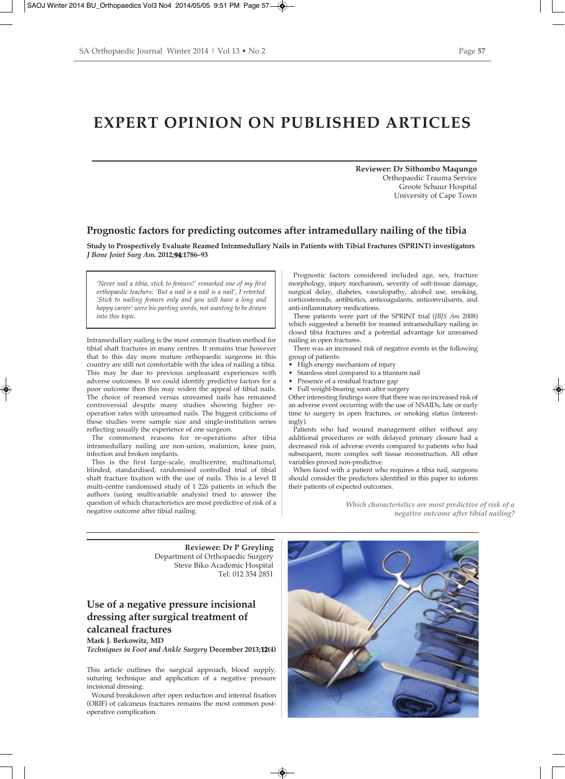# **EXPERT OPINION ON PUBLISHED ARTICLES**

**Reviewer: Dr Sithombo Maqungo**  Orthopaedic Trauma Service Groote Schuur Hospital University of Cape Town

### **Prognostic factors for predicting outcomes after intramedullary nailing of the tibia**

**Study to Prospectively Evaluate Reamed Intramedullary Nails in Patients with Tibial Fractures (SPRINT) investigators** *J Bone Joint Surg Am.* **2012;94:1786–93**

*'Never nail a tibia, stick to femurs!' remarked one of my first orthopaedic teachers. 'But a nail is a nail is a nail', I retorted. 'Stick to nailing femurs only and you will have a long and happy career' were his parting words, not wanting to be drawn into this topic.* 

Intramedullary nailing is the most common fixation method for tibial shaft fractures in many centres. It remains true however that to this day more mature orthopaedic surgeons in this country are still not comfortable with the idea of nailing a tibia. This may be due to previous unpleasant experiences with adverse outcomes. If we could identify predictive factors for a poor outcome then this may widen the appeal of tibial nails. The choice of reamed versus unreamed nails has remained controversial despite many studies showing higher reoperation rates with unreamed nails. The biggest criticisms of these studies were sample size and single-institution series reflecting usually the experience of one surgeon.

The commonest reasons for re-operations after tibia intramedullary nailing are non-union, malunion, knee pain, infection and broken implants.

This is the first large-scale, multicentre, multinational, blinded, standardised, randomised controlled trial of tibial shaft fracture fixation with the use of nails. This is a level II multi-centre randomised study of 1 226 patients in which the authors (using multivariable analysis) tried to answer the question of which characteristics are most predictive of risk of a negative outcome after tibial nailing.

Prognostic factors considered included age, sex, fracture morphology, injury mechanism, severity of soft-tissue damage, surgical delay, diabetes, vasculopathy, alcohol use, smoking, corticosteroids, antibiotics, anticoagulants, anticonvulsants, and anti-inflammatory medications.

These patients were part of the SPRINT trial (*JBJS Am* 2008) which suggested a benefit for reamed intramedullary nailing in closed tibia fractures and a potential advantage for unreamed nailing in open fractures.

There was an increased risk of negative events in the following group of patients:

- High energy mechanism of injury
- Stainless steel compared to a titanium nail
- Presence of a residual fracture gap
- Full weight-bearing soon after surgery

Other interesting findings were that there was no increased risk of an adverse event occurring with the use of NSAIDs, late or early time to surgery in open fractures, or smoking status (interestingly).

Patients who had wound management either without any additional procedures or with delayed primary closure had a decreased risk of adverse events compared to patients who had subsequent, more complex soft tissue reconstruction. All other variables proved non-predictive.

When faced with a patient who requires a tibia nail, surgeons should consider the predictors identified in this paper to inform their patients of expected outcomes.

> *Which characteristics are most predictive of risk of a negative outcome after tibial nailing?*

**Reviewer: Dr P Greyling**  Department of Orthopaedic Surgery Steve Biko Academic Hospital Tel: 012 354 2851

## **Use of a negative pressure incisional dressing after surgical treatment of calcaneal fractures Mark J. Berkowitz, MD**

*Techniques in Foot and Ankle Surgery* **December 2013;12(4)**

This article outlines the surgical approach, blood supply, suturing technique and application of a negative pressure incisional dressing.

Wound breakdown after open reduction and internal fixation (ORIF) of calcaneus fractures remains the most common postoperative complication.

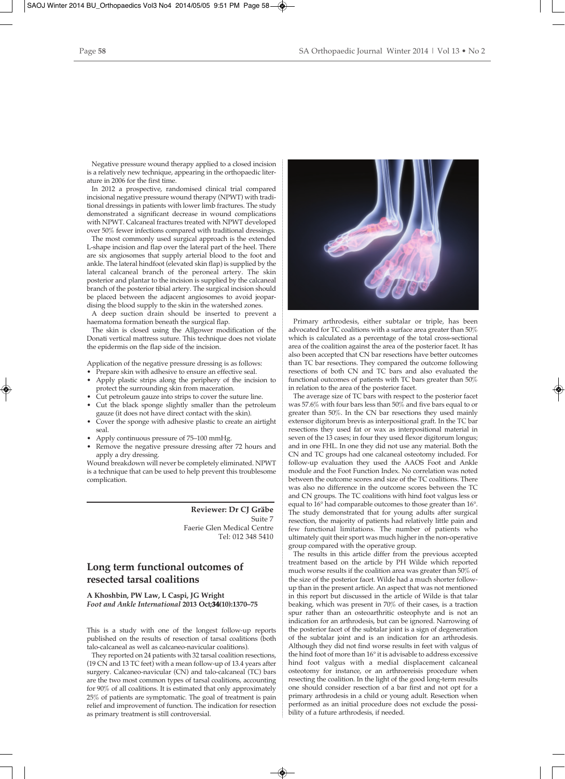Negative pressure wound therapy applied to a closed incision is a relatively new technique, appearing in the orthopaedic literature in 2006 for the first time.

In 2012 a prospective, randomised clinical trial compared incisional negative pressure wound therapy (NPWT) with traditional dressings in patients with lower limb fractures. The study demonstrated a significant decrease in wound complications with NPWT. Calcaneal fractures treated with NPWT developed over 50% fewer infections compared with traditional dressings.

The most commonly used surgical approach is the extended L-shape incision and flap over the lateral part of the heel. There are six angiosomes that supply arterial blood to the foot and ankle. The lateral hindfoot (elevated skin flap) is supplied by the lateral calcaneal branch of the peroneal artery. The skin posterior and plantar to the incision is supplied by the calcaneal branch of the posterior tibial artery. The surgical incision should be placed between the adjacent angiosomes to avoid jeopardising the blood supply to the skin in the watershed zones.

A deep suction drain should be inserted to prevent a haematoma formation beneath the surgical flap.

The skin is closed using the Allgower modification of the Donati vertical mattress suture. This technique does not violate the epidermis on the flap side of the incision.

Application of the negative pressure dressing is as follows:

- Prepare skin with adhesive to ensure an effective seal.
- Apply plastic strips along the periphery of the incision to protect the surrounding skin from maceration.
- Cut petroleum gauze into strips to cover the suture line.
- Cut the black sponge slightly smaller than the petroleum gauze (it does not have direct contact with the skin).
- Cover the sponge with adhesive plastic to create an airtight seal.
- Apply continuous pressure of 75–100 mmHg.
- Remove the negative pressure dressing after 72 hours and apply a dry dressing.

Wound breakdown will never be completely eliminated. NPWT is a technique that can be used to help prevent this troublesome complication.

> **Reviewer: Dr CJ Gräbe**  Suite 7 Faerie Glen Medical Centre Tel: 012 348 5410

# **Long term functional outcomes of resected tarsal coalitions**

**A Khoshbin, PW Law, L Caspi, JG Wright** *Foot and Ankle International* **2013 Oct;34(10):1370–75**

This is a study with one of the longest follow-up reports published on the results of resection of tarsal coalitions (both talo-calcaneal as well as calcaneo-navicular coalitions).

They reported on 24 patients with 32 tarsal coalition resections, (19 CN and 13 TC feet) with a mean follow-up of 13.4 years after surgery. Calcaneo-navicular (CN) and talo-calcaneal (TC) bars are the two most common types of tarsal coalitions, accounting for 90% of all coalitions. It is estimated that only approximately 25% of patients are symptomatic. The goal of treatment is pain relief and improvement of function. The indication for resection as primary treatment is still controversial.



Primary arthrodesis, either subtalar or triple, has been advocated for TC coalitions with a surface area greater than 50% which is calculated as a percentage of the total cross-sectional area of the coalition against the area of the posterior facet. It has also been accepted that CN bar resections have better outcomes than TC bar resections. They compared the outcome following resections of both CN and TC bars and also evaluated the functional outcomes of patients with TC bars greater than 50% in relation to the area of the posterior facet.

The average size of TC bars with respect to the posterior facet was 57.6% with four bars less than 50% and five bars equal to or greater than 50%. In the CN bar resections they used mainly extensor digitorum brevis as interpositional graft. In the TC bar resections they used fat or wax as interpositional material in seven of the 13 cases; in four they used flexor digitorum longus; and in one FHL. In one they did not use any material. Both the CN and TC groups had one calcaneal osteotomy included. For follow-up evaluation they used the AAOS Foot and Ankle module and the Foot Function Index. No correlation was noted between the outcome scores and size of the TC coalitions. There was also no difference in the outcome scores between the TC and CN groups. The TC coalitions with hind foot valgus less or equal to 16° had comparable outcomes to those greater than 16°. The study demonstrated that for young adults after surgical resection, the majority of patients had relatively little pain and few functional limitations. The number of patients who ultimately quit their sport was much higher in the non-operative group compared with the operative group.

The results in this article differ from the previous accepted treatment based on the article by PH Wilde which reported much worse results if the coalition area was greater than 50% of the size of the posterior facet. Wilde had a much shorter followup than in the present article. An aspect that was not mentioned in this report but discussed in the article of Wilde is that talar beaking, which was present in 70% of their cases, is a traction spur rather than an osteoarthritic osteophyte and is not an indication for an arthrodesis, but can be ignored. Narrowing of the posterior facet of the subtalar joint is a sign of degeneration of the subtalar joint and is an indication for an arthrodesis. Although they did not find worse results in feet with valgus of the hind foot of more than 16° it is advisable to address excessive hind foot valgus with a medial displacement calcaneal osteotomy for instance, or an arthroereisis procedure when resecting the coalition. In the light of the good long-term results one should consider resection of a bar first and not opt for a primary arthrodesis in a child or young adult. Resection when performed as an initial procedure does not exclude the possibility of a future arthrodesis, if needed.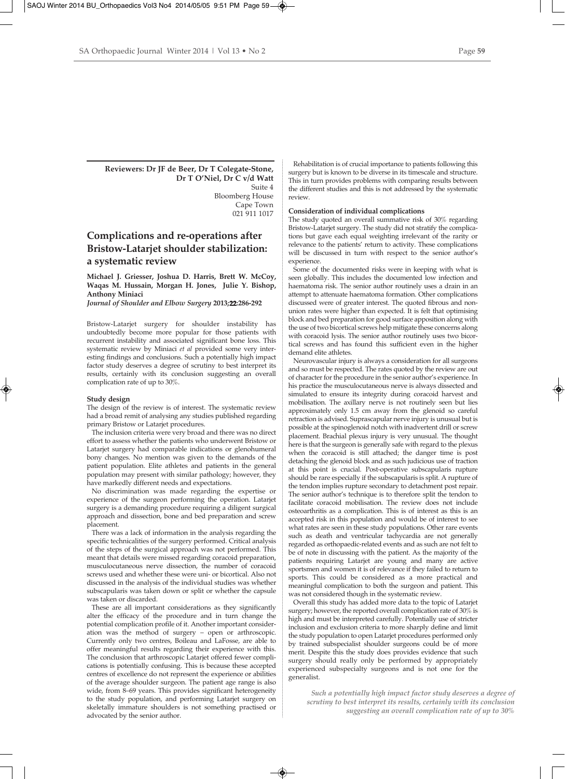### **Reviewers: Dr JF de Beer, Dr T Colegate-Stone, Dr T O'Niel, Dr C v/d Watt**  Suite 4 Bloomberg House Cape Town 021 911 1017

# **Complications and re-operations after Bristow-Latarjet shoulder stabilization: a systematic review**

**Michael J. Griesser, Joshua D. Harris, Brett W. McCoy, Waqas M. Hussain, Morgan H. Jones, Julie Y. Bishop, Anthony Miniaci**

*Journal of Shoulder and Elbow Surgery* **2013;22:286-292**

Bristow-Latarjet surgery for shoulder instability has undoubtedly become more popular for those patients with recurrent instability and associated significant bone loss. This systematic review by Miniaci *et al* provided some very interesting findings and conclusions. Such a potentially high impact factor study deserves a degree of scrutiny to best interpret its results, certainly with its conclusion suggesting an overall complication rate of up to 30%.

#### **Study design**

The design of the review is of interest. The systematic review had a broad remit of analysing any studies published regarding primary Bristow or Latarjet procedures.

The inclusion criteria were very broad and there was no direct effort to assess whether the patients who underwent Bristow or Latarjet surgery had comparable indications or glenohumeral bony changes. No mention was given to the demands of the patient population. Elite athletes and patients in the general population may present with similar pathology; however, they have markedly different needs and expectations.

No discrimination was made regarding the expertise or experience of the surgeon performing the operation. Latarjet surgery is a demanding procedure requiring a diligent surgical approach and dissection, bone and bed preparation and screw placement.

There was a lack of information in the analysis regarding the specific technicalities of the surgery performed. Critical analysis of the steps of the surgical approach was not performed. This meant that details were missed regarding coracoid preparation, musculocutaneous nerve dissection, the number of coracoid screws used and whether these were uni- or bicortical. Also not discussed in the analysis of the individual studies was whether subscapularis was taken down or split or whether the capsule was taken or discarded.

These are all important considerations as they significantly alter the efficacy of the procedure and in turn change the potential complication profile of it. Another important consideration was the method of surgery – open or arthroscopic. Currently only two centres, Boileau and LaFosse, are able to offer meaningful results regarding their experience with this. The conclusion that arthroscopic Latarjet offered fewer complications is potentially confusing. This is because these accepted centres of excellence do not represent the experience or abilities of the average shoulder surgeon. The patient age range is also wide, from 8–69 years. This provides significant heterogeneity to the study population, and performing Latarjet surgery on skeletally immature shoulders is not something practised or advocated by the senior author.

Rehabilitation is of crucial importance to patients following this surgery but is known to be diverse in its timescale and structure. This in turn provides problems with comparing results between the different studies and this is not addressed by the systematic review.

### **Consideration of individual complications**

The study quoted an overall summative risk of 30% regarding Bristow-Latarjet surgery. The study did not stratify the complications but gave each equal weighting irrelevant of the rarity or relevance to the patients' return to activity. These complications will be discussed in turn with respect to the senior author's experience.

Some of the documented risks were in keeping with what is seen globally. This includes the documented low infection and haematoma risk. The senior author routinely uses a drain in an attempt to attenuate haematoma formation. Other complications discussed were of greater interest. The quoted fibrous and nonunion rates were higher than expected. It is felt that optimising block and bed preparation for good surface apposition along with the use of two bicortical screws help mitigate these concerns along with coracoid lysis. The senior author routinely uses two bicortical screws and has found this sufficient even in the higher demand elite athletes.

Neurovascular injury is always a consideration for all surgeons and so must be respected. The rates quoted by the review are out of character for the procedure in the senior author's experience. In his practice the musculocutaneous nerve is always dissected and simulated to ensure its integrity during coracoid harvest and mobilisation. The axillary nerve is not routinely seen but lies approximately only 1.5 cm away from the glenoid so careful retraction is advised. Suprascapular nerve injury is unusual but is possible at the spinoglenoid notch with inadvertent drill or screw placement. Brachial plexus injury is very unusual. The thought here is that the surgeon is generally safe with regard to the plexus when the coracoid is still attached; the danger time is post detaching the glenoid block and as such judicious use of traction at this point is crucial. Post-operative subscapularis rupture should be rare especially if the subscapularis is split. A rupture of the tendon implies rupture secondary to detachment post repair. The senior author's technique is to therefore split the tendon to facilitate coracoid mobilisation. The review does not include osteoarthritis as a complication. This is of interest as this is an accepted risk in this population and would be of interest to see what rates are seen in these study populations. Other rare events such as death and ventricular tachycardia are not generally regarded as orthopaedic-related events and as such are not felt to be of note in discussing with the patient. As the majority of the patients requiring Latarjet are young and many are active sportsmen and women it is of relevance if they failed to return to sports. This could be considered as a more practical and meaningful complication to both the surgeon and patient. This was not considered though in the systematic review.

Overall this study has added more data to the topic of Latarjet surgery; however, the reported overall complication rate of 30% is high and must be interpreted carefully. Potentially use of stricter inclusion and exclusion criteria to more sharply define and limit the study population to open Latarjet procedures performed only by trained subspecialist shoulder surgeons could be of more merit. Despite this the study does provides evidence that such surgery should really only be performed by appropriately experienced subspecialty surgeons and is not one for the generalist.

*Such a potentially high impact factor study deserves a degree of scrutiny to best interpret its results, certainly with its conclusion suggesting an overall complication rate of up to 30%*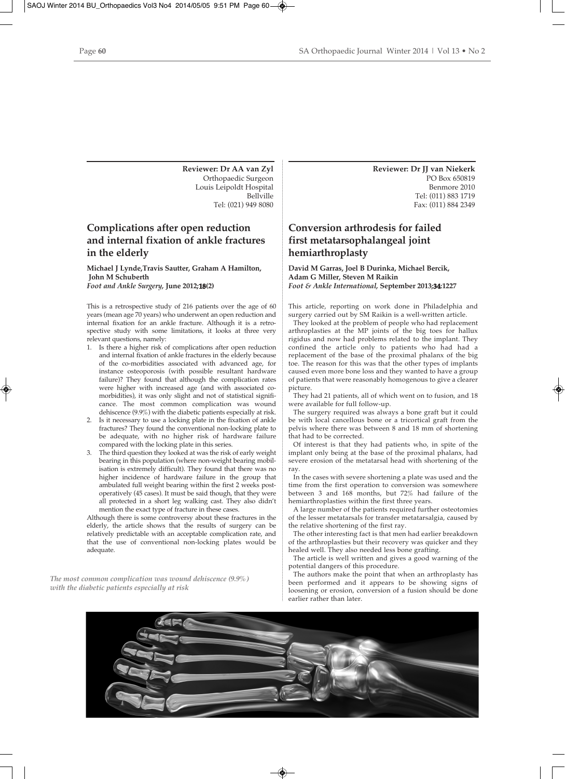**Reviewer: Dr AA van Zyl** Orthopaedic Surgeon Louis Leipoldt Hospital Bellville Tel: (021) 949 8080

# **Complications after open reduction and internal fixation of ankle fractures in the elderly**

**Michael J Lynde,Travis Sautter, Graham A Hamilton, John M Schuberth** *Foot and Ankle Surgery,* **June 2012;18(2)**

This is a retrospective study of 216 patients over the age of 60 years (mean age 70 years) who underwent an open reduction and internal fixation for an ankle fracture. Although it is a retrospective study with some limitations, it looks at three very relevant questions, namely:

- 1. Is there a higher risk of complications after open reduction and internal fixation of ankle fractures in the elderly because of the co-morbidities associated with advanced age, for instance osteoporosis (with possible resultant hardware failure)? They found that although the complication rates were higher with increased age (and with associated comorbidities), it was only slight and not of statistical significance. The most common complication was wound dehiscence (9.9%) with the diabetic patients especially at risk.
- 2. Is it necessary to use a locking plate in the fixation of ankle fractures? They found the conventional non-locking plate to be adequate, with no higher risk of hardware failure compared with the locking plate in this series.
- The third question they looked at was the risk of early weight bearing in this population (where non-weight bearing mobilisation is extremely difficult). They found that there was no higher incidence of hardware failure in the group that ambulated full weight bearing within the first 2 weeks postoperatively (45 cases). It must be said though, that they were all protected in a short leg walking cast. They also didn't mention the exact type of fracture in these cases.

Although there is some controversy about these fractures in the elderly, the article shows that the results of surgery can be relatively predictable with an acceptable complication rate, and that the use of conventional non-locking plates would be adequate.

*The most common complication was wound dehiscence (9.9%) with the diabetic patients especially at risk*

**Reviewer: Dr JJ van Niekerk** PO Box 650819 Benmore 2010 Tel: (011) 883 1719 Fax: (011) 884 2349

# **Conversion arthrodesis for failed first metatarsophalangeal joint hemiarthroplasty**

### **David M Garras, Joel B Durinka, Michael Bercik, Adam G Miller, Steven M Raikin** *Foot & Ankle International,* **September 2013;34:1227**

This article, reporting on work done in Philadelphia and surgery carried out by SM Raikin is a well-written article.

They looked at the problem of people who had replacement arthroplasties at the MP joints of the big toes for hallux rigidus and now had problems related to the implant. They confined the article only to patients who had had a replacement of the base of the proximal phalanx of the big toe. The reason for this was that the other types of implants caused even more bone loss and they wanted to have a group of patients that were reasonably homogenous to give a clearer picture.

They had 21 patients, all of which went on to fusion, and 18 were available for full follow-up.

The surgery required was always a bone graft but it could be with local cancellous bone or a tricortical graft from the pelvis where there was between 8 and 18 mm of shortening that had to be corrected.

Of interest is that they had patients who, in spite of the implant only being at the base of the proximal phalanx, had severe erosion of the metatarsal head with shortening of the ray.

In the cases with severe shortening a plate was used and the time from the first operation to conversion was somewhere between 3 and 168 months, but 72% had failure of the hemiarthroplasties within the first three years.

A large number of the patients required further osteotomies of the lesser metatarsals for transfer metatarsalgia, caused by the relative shortening of the first ray.

The other interesting fact is that men had earlier breakdown of the arthroplasties but their recovery was quicker and they healed well. They also needed less bone grafting.

The article is well written and gives a good warning of the potential dangers of this procedure.

The authors make the point that when an arthroplasty has been performed and it appears to be showing signs of loosening or erosion, conversion of a fusion should be done earlier rather than later.

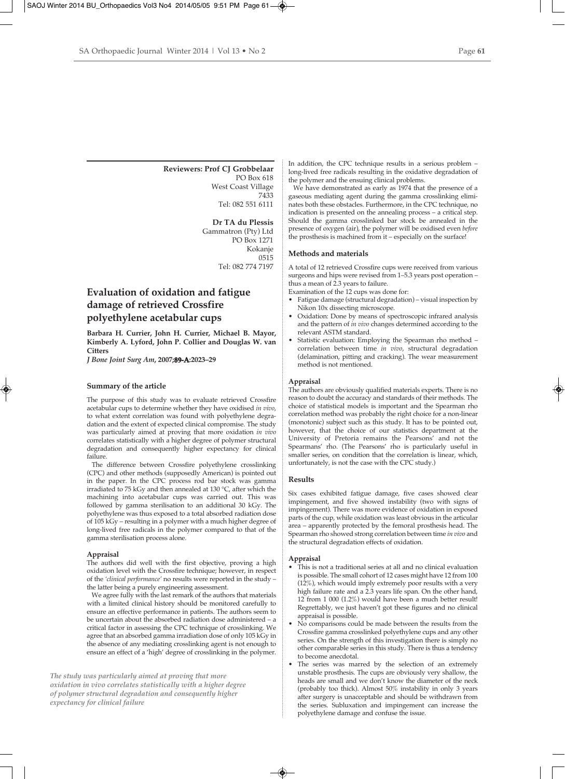### **Reviewers: Prof CJ Grobbelaar**  PO Box 618

West Coast Village 7433 Tel: 082 551 6111

### **Dr TA du Plessis**

Gammatron (Pty) Ltd PO Box 1271 Kokanje 0515 Tel: 082 774 7197

# **Evaluation of oxidation and fatigue damage of retrieved Crossfire polyethylene acetabular cups**

**Barbara H. Currier, John H. Currier, Michael B. Mayor, Kimberly A. Lyford, John P. Collier and Douglas W. van Citters**

*J Bone Joint Surg Am***, 2007;89-A:2023–29**

#### **Summary of the article**

The purpose of this study was to evaluate retrieved Crossfire acetabular cups to determine whether they have oxidised *in vivo*, to what extent correlation was found with polyethylene degradation and the extent of expected clinical compromise. The study was particularly aimed at proving that more oxidation *in vivo* correlates statistically with a higher degree of polymer structural degradation and consequently higher expectancy for clinical failure.

The difference between Crossfire polyethylene crosslinking (CPC) and other methods (supposedly American) is pointed out in the paper. In the CPC process rod bar stock was gamma irradiated to 75 kGy and then annealed at 130 °C, after which the machining into acetabular cups was carried out. This was followed by gamma sterilisation to an additional 30 kGy. The polyethylene was thus exposed to a total absorbed radiation dose of 105 kGy – resulting in a polymer with a much higher degree of long-lived free radicals in the polymer compared to that of the gamma sterilisation process alone.

#### **Appraisal**

The authors did well with the first objective, proving a high oxidation level with the Crossfire technique; however, in respect of the *'clinical performance'* no results were reported in the study – the latter being a purely engineering assessment.

We agree fully with the last remark of the authors that materials with a limited clinical history should be monitored carefully to ensure an effective performance in patients. The authors seem to be uncertain about the absorbed radiation dose administered – a critical factor in assessing the CPC technique of crosslinking. We agree that an absorbed gamma irradiation dose of only 105 kGy in the absence of any mediating crosslinking agent is not enough to ensure an effect of a 'high' degree of crosslinking in the polymer.

*The study was particularly aimed at proving that more oxidation in vivo correlates statistically with a higher degree of polymer structural degradation and consequently higher expectancy for clinical failure*

In addition, the CPC technique results in a serious problem – long-lived free radicals resulting in the oxidative degradation of the polymer and the ensuing clinical problems.

We have demonstrated as early as 1974 that the presence of a gaseous mediating agent during the gamma crosslinking eliminates both these obstacles. Furthermore, in the CPC technique, no indication is presented on the annealing process – a critical step. Should the gamma crosslinked bar stock be annealed in the presence of oxygen (air), the polymer will be oxidised even *before* the prosthesis is machined from it – especially on the surface!

#### **Methods and materials**

A total of 12 retrieved Crossfire cups were received from various surgeons and hips were revised from 1–5.3 years post operation – thus a mean of 2.3 years to failure.

Examination of the 12 cups was done for:

- Fatigue damage (structural degradation) visual inspection by Nikon 10x dissecting microscope.
- Oxidation: Done by means of spectroscopic infrared analysis and the pattern of *in vivo* changes determined according to the relevant ASTM standard.
- Statistic evaluation: Employing the Spearman rho method correlation between time *in vivo*, structural degradation (delamination, pitting and cracking). The wear measurement method is not mentioned.

### **Appraisal**

The authors are obviously qualified materials experts. There is no reason to doubt the accuracy and standards of their methods. The choice of statistical models is important and the Spearman rho correlation method was probably the right choice for a non-linear (monotonic) subject such as this study. It has to be pointed out, however, that the choice of our statistics department at the University of Pretoria remains the Pearsons' and not the Spearmans' rho. (The Pearsons' rho is particularly useful in smaller series, on condition that the correlation is linear, which, unfortunately, is not the case with the CPC study.)

### **Results**

Six cases exhibited fatigue damage, five cases showed clear impingement, and five showed instability (two with signs of impingement). There was more evidence of oxidation in exposed parts of the cup, while oxidation was least obvious in the articular area – apparently protected by the femoral prosthesis head. The Spearman rho showed strong correlation between time *in vivo* and the structural degradation effects of oxidation.

### **Appraisal**

- This is not a traditional series at all and no clinical evaluation is possible. The small cohort of 12 cases might have 12 from 100 (12%), which would imply extremely poor results with a very high failure rate and a 2.3 years life span. On the other hand, 12 from 1 000 (1.2%) would have been a much better result! Regrettably, we just haven't got these figures and no clinical appraisal is possible.
- No comparisons could be made between the results from the Crossfire gamma crosslinked polyethylene cups and any other series. On the strength of this investigation there is simply no other comparable series in this study. There is thus a tendency to become anecdotal.
- The series was marred by the selection of an extremely unstable prosthesis. The cups are obviously very shallow, the heads are small and we don't know the diameter of the neck (probably too thick). Almost 50% instability in only 3 years after surgery is unacceptable and should be withdrawn from the series. Subluxation and impingement can increase the polyethylene damage and confuse the issue.